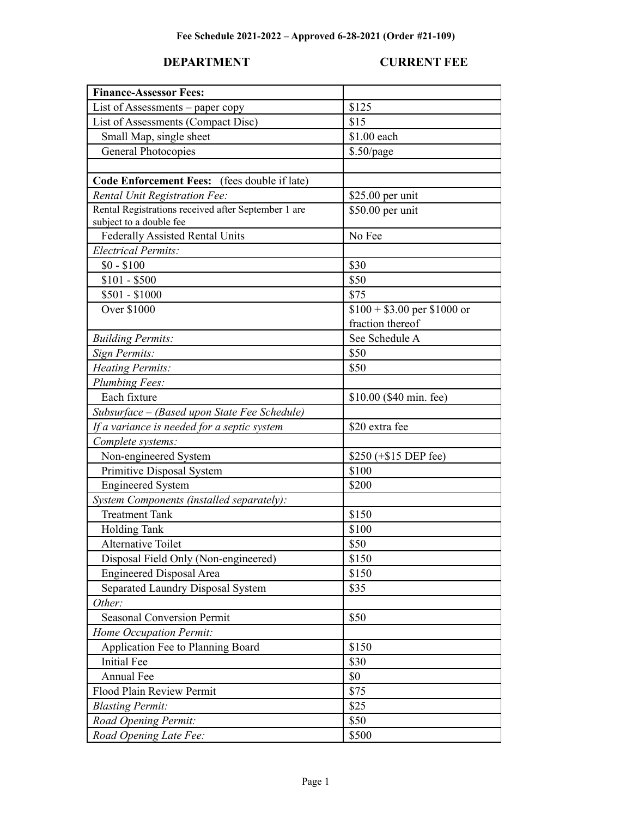### **DEPARTMENT CURRENT FEE**

| <b>Finance-Assessor Fees:</b>                       |                              |
|-----------------------------------------------------|------------------------------|
| List of Assessments - paper copy                    | \$125                        |
| List of Assessments (Compact Disc)                  | \$15                         |
| Small Map, single sheet                             | \$1.00 each                  |
| General Photocopies                                 | $$.50$ /page                 |
|                                                     |                              |
| Code Enforcement Fees: (fees double if late)        |                              |
| <b>Rental Unit Registration Fee:</b>                | \$25.00 per unit             |
| Rental Registrations received after September 1 are | \$50.00 per unit             |
| subject to a double fee                             |                              |
| <b>Federally Assisted Rental Units</b>              | No Fee                       |
| <b>Electrical Permits:</b>                          |                              |
| $$0 - $100$                                         | \$30                         |
| $$101 - $500$                                       | \$50                         |
| \$501 - \$1000                                      | \$75                         |
| <b>Over \$1000</b>                                  | $$100 + $3.00$ per \$1000 or |
|                                                     | fraction thereof             |
| <b>Building Permits:</b>                            | See Schedule A               |
| Sign Permits:                                       | \$50                         |
| <b>Heating Permits:</b>                             | \$50                         |
| Plumbing Fees:                                      |                              |
| Each fixture                                        | \$10.00 (\$40 min. fee)      |
| Subsurface - (Based upon State Fee Schedule)        |                              |
| If a variance is needed for a septic system         | \$20 extra fee               |
| Complete systems:                                   |                              |
| Non-engineered System                               | \$250 (+\$15 DEP fee)        |
| Primitive Disposal System                           | \$100                        |
| <b>Engineered System</b>                            | \$200                        |
| System Components (installed separately):           |                              |
| <b>Treatment Tank</b>                               | \$150                        |
| <b>Holding Tank</b>                                 | \$100                        |
| <b>Alternative Toilet</b>                           | \$50                         |
| Disposal Field Only (Non-engineered)                | \$150                        |
| <b>Engineered Disposal Area</b>                     | \$150                        |
| Separated Laundry Disposal System                   | \$35                         |
| Other:                                              |                              |
| <b>Seasonal Conversion Permit</b>                   | \$50                         |
| Home Occupation Permit:                             |                              |
| Application Fee to Planning Board                   | \$150                        |
| <b>Initial Fee</b>                                  | \$30                         |
| Annual Fee                                          | \$0                          |
| Flood Plain Review Permit                           | \$75                         |
| <b>Blasting Permit:</b>                             | \$25                         |
| Road Opening Permit:                                | \$50                         |
| Road Opening Late Fee:                              | \$500                        |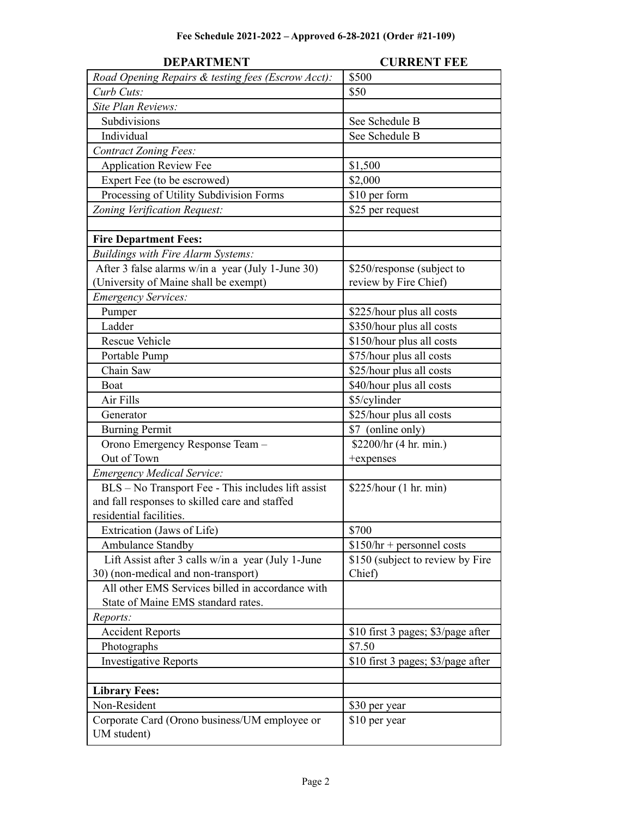| <b>DEPARTMENT</b>                                            | <b>CURRENT FEE</b>                 |
|--------------------------------------------------------------|------------------------------------|
| Road Opening Repairs & testing fees (Escrow Acct):           | \$500                              |
| Curb Cuts:                                                   | \$50                               |
| Site Plan Reviews:                                           |                                    |
| Subdivisions                                                 | See Schedule B                     |
| Individual                                                   | See Schedule B                     |
| <b>Contract Zoning Fees:</b>                                 |                                    |
| <b>Application Review Fee</b>                                | \$1,500                            |
| Expert Fee (to be escrowed)                                  | \$2,000                            |
| Processing of Utility Subdivision Forms                      | \$10 per form                      |
| Zoning Verification Request:                                 | \$25 per request                   |
|                                                              |                                    |
| <b>Fire Department Fees:</b>                                 |                                    |
| Buildings with Fire Alarm Systems:                           |                                    |
| After 3 false alarms w/in a year (July 1-June 30)            | \$250/response (subject to         |
| (University of Maine shall be exempt)                        | review by Fire Chief)              |
| <b>Emergency Services:</b>                                   |                                    |
| Pumper                                                       | \$225/hour plus all costs          |
| Ladder                                                       | \$350/hour plus all costs          |
| <b>Rescue Vehicle</b>                                        | \$150/hour plus all costs          |
| Portable Pump                                                | \$75/hour plus all costs           |
| Chain Saw                                                    | \$25/hour plus all costs           |
| Boat                                                         | \$40/hour plus all costs           |
| Air Fills                                                    | \$5/cylinder                       |
| Generator                                                    | \$25/hour plus all costs           |
| <b>Burning Permit</b>                                        | \$7 (online only)                  |
| Orono Emergency Response Team -                              | \$2200/hr (4 hr. min.)             |
| Out of Town                                                  | +expenses                          |
| <b>Emergency Medical Service:</b>                            |                                    |
| BLS - No Transport Fee - This includes lift assist           | \$225/hour (1 hr. min)             |
| and fall responses to skilled care and staffed               |                                    |
| residential facilities.                                      |                                    |
| Extrication (Jaws of Life)                                   | \$700                              |
| Ambulance Standby                                            | $$150/hr + personnel costs$        |
| Lift Assist after 3 calls w/in a year (July 1-June           | \$150 (subject to review by Fire   |
| 30) (non-medical and non-transport)                          | Chief)                             |
| All other EMS Services billed in accordance with             |                                    |
| State of Maine EMS standard rates.                           |                                    |
| Reports:                                                     |                                    |
| <b>Accident Reports</b>                                      | \$10 first 3 pages; \$3/page after |
| Photographs                                                  | \$7.50                             |
| <b>Investigative Reports</b>                                 | \$10 first 3 pages; \$3/page after |
|                                                              |                                    |
| <b>Library Fees:</b>                                         |                                    |
| Non-Resident                                                 | \$30 per year                      |
| Corporate Card (Orono business/UM employee or<br>UM student) | \$10 per year                      |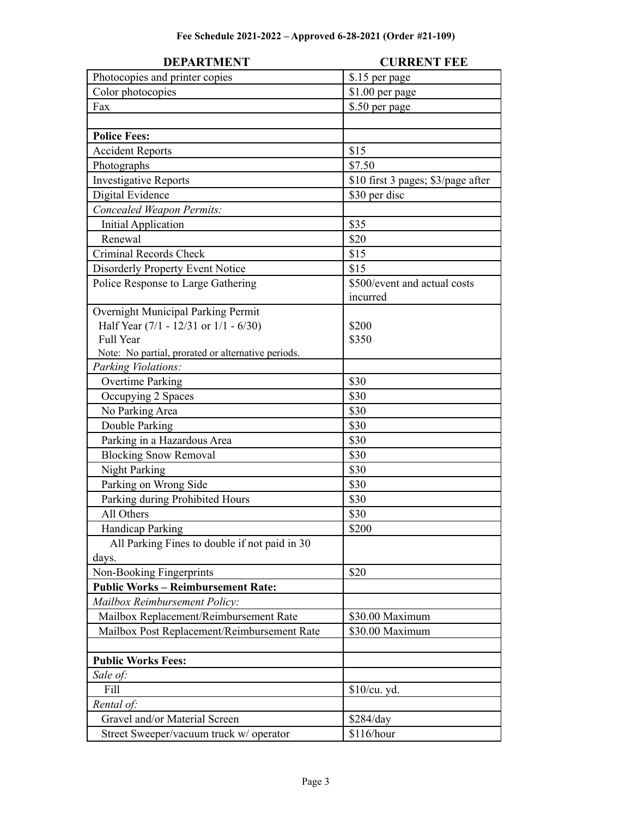| <b>DEPARTMENT</b>                                  | <b>CURRENT FEE</b>                 |
|----------------------------------------------------|------------------------------------|
| Photocopies and printer copies                     | \$.15 per page                     |
| Color photocopies                                  | \$1.00 per page                    |
| Fax                                                | \$.50 per page                     |
|                                                    |                                    |
| <b>Police Fees:</b>                                |                                    |
| <b>Accident Reports</b>                            | \$15                               |
| Photographs                                        | \$7.50                             |
| <b>Investigative Reports</b>                       | \$10 first 3 pages; \$3/page after |
| Digital Evidence                                   | \$30 per disc                      |
| Concealed Weapon Permits:                          |                                    |
| <b>Initial Application</b>                         | \$35                               |
| Renewal                                            | \$20                               |
| Criminal Records Check                             | \$15                               |
| <b>Disorderly Property Event Notice</b>            | \$15                               |
| Police Response to Large Gathering                 | \$500/event and actual costs       |
|                                                    | incurred                           |
| Overnight Municipal Parking Permit                 |                                    |
| Half Year (7/1 - 12/31 or 1/1 - 6/30)              | \$200                              |
| Full Year                                          | \$350                              |
| Note: No partial, prorated or alternative periods. |                                    |
| Parking Violations:                                |                                    |
| <b>Overtime Parking</b>                            | \$30                               |
| Occupying 2 Spaces                                 | \$30                               |
| No Parking Area                                    | \$30                               |
| Double Parking                                     | \$30                               |
| Parking in a Hazardous Area                        | \$30                               |
| <b>Blocking Snow Removal</b>                       | \$30                               |
| <b>Night Parking</b>                               | \$30                               |
| Parking on Wrong Side                              | \$30                               |
| Parking during Prohibited Hours                    | \$30                               |
| All Others                                         | \$30                               |
| <b>Handicap Parking</b>                            | \$200                              |
| All Parking Fines to double if not paid in 30      |                                    |
| days.                                              |                                    |
| Non-Booking Fingerprints                           | \$20                               |
| <b>Public Works - Reimbursement Rate:</b>          |                                    |
| Mailbox Reimbursement Policy:                      |                                    |
| Mailbox Replacement/Reimbursement Rate             | \$30.00 Maximum                    |
| Mailbox Post Replacement/Reimbursement Rate        | \$30.00 Maximum                    |
|                                                    |                                    |
| <b>Public Works Fees:</b>                          |                                    |
| Sale of:                                           |                                    |
| Fill                                               | \$10/cu. yd.                       |
| Rental of:                                         |                                    |
| Gravel and/or Material Screen                      | \$284/day                          |
| Street Sweeper/vacuum truck w/ operator            | \$116/hour                         |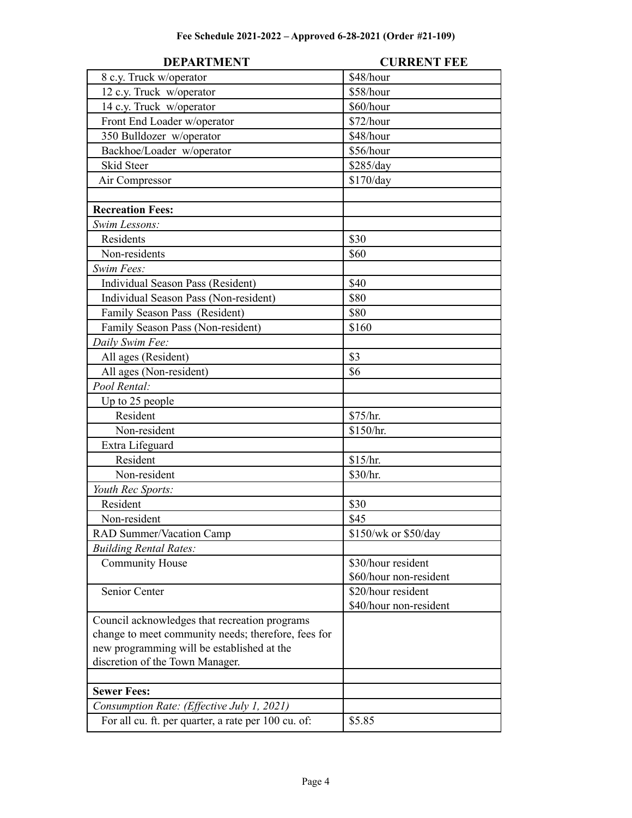| <b>DEPARTMENT</b>                                   | <b>CURRENT FEE</b>     |
|-----------------------------------------------------|------------------------|
| 8 c.y. Truck w/operator                             | \$48/hour              |
| 12 c.y. Truck w/operator                            | \$58/hour              |
| 14 c.y. Truck w/operator                            | \$60/hour              |
| Front End Loader w/operator                         | \$72/hour              |
| 350 Bulldozer w/operator                            | \$48/hour              |
| Backhoe/Loader w/operator                           | \$56/hour              |
| <b>Skid Steer</b>                                   | \$285/day              |
| Air Compressor                                      | \$170/day              |
|                                                     |                        |
| <b>Recreation Fees:</b>                             |                        |
| Swim Lessons:                                       |                        |
| Residents                                           | \$30                   |
| Non-residents                                       | \$60                   |
| Swim Fees:                                          |                        |
| Individual Season Pass (Resident)                   | \$40                   |
| Individual Season Pass (Non-resident)               | \$80                   |
| Family Season Pass (Resident)                       | \$80                   |
| Family Season Pass (Non-resident)                   | \$160                  |
| Daily Swim Fee:                                     |                        |
| All ages (Resident)                                 | \$3                    |
| All ages (Non-resident)                             | \$6                    |
| Pool Rental:                                        |                        |
| Up to 25 people                                     |                        |
| Resident                                            | \$75/hr.               |
| Non-resident                                        | \$150/hr.              |
| Extra Lifeguard                                     |                        |
| Resident                                            | \$15/hr.               |
| Non-resident                                        | \$30/hr.               |
| Youth Rec Sports:                                   |                        |
| Resident                                            | \$30                   |
| Non-resident                                        | \$45                   |
| RAD Summer/Vacation Camp                            | \$150/wk or \$50/day   |
| <b>Building Rental Rates:</b>                       |                        |
| <b>Community House</b>                              | \$30/hour resident     |
|                                                     | \$60/hour non-resident |
| Senior Center                                       | \$20/hour resident     |
|                                                     | \$40/hour non-resident |
| Council acknowledges that recreation programs       |                        |
| change to meet community needs; therefore, fees for |                        |
| new programming will be established at the          |                        |
| discretion of the Town Manager.                     |                        |
|                                                     |                        |
| <b>Sewer Fees:</b>                                  |                        |
| Consumption Rate: (Effective July 1, 2021)          |                        |
| For all cu. ft. per quarter, a rate per 100 cu. of: | \$5.85                 |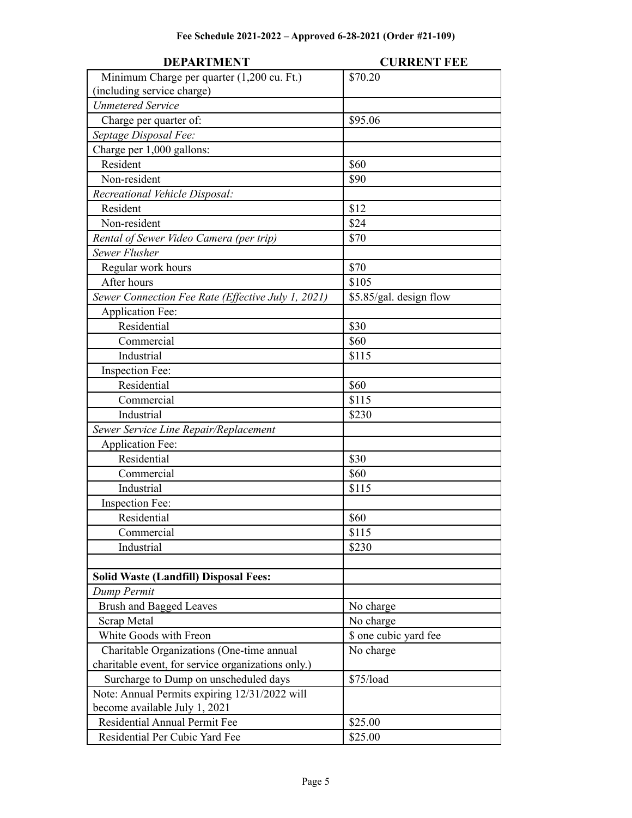| <b>DEPARTMENT</b>                                  | <b>CURRENT FEE</b>      |
|----------------------------------------------------|-------------------------|
| Minimum Charge per quarter (1,200 cu. Ft.)         | \$70.20                 |
| (including service charge)                         |                         |
| <b>Unmetered Service</b>                           |                         |
| Charge per quarter of:                             | \$95.06                 |
| Septage Disposal Fee:                              |                         |
| Charge per 1,000 gallons:                          |                         |
| Resident                                           | \$60                    |
| Non-resident                                       | \$90                    |
| Recreational Vehicle Disposal:                     |                         |
| Resident                                           | \$12                    |
| Non-resident                                       | \$24                    |
| Rental of Sewer Video Camera (per trip)            | \$70                    |
| Sewer Flusher                                      |                         |
| Regular work hours                                 | \$70                    |
| After hours                                        | \$105                   |
| Sewer Connection Fee Rate (Effective July 1, 2021) | \$5.85/gal. design flow |
| <b>Application Fee:</b>                            |                         |
| Residential                                        | \$30                    |
| Commercial                                         | \$60                    |
| Industrial                                         | \$115                   |
| Inspection Fee:                                    |                         |
| Residential                                        | \$60                    |
| Commercial                                         | \$115                   |
| Industrial                                         | \$230                   |
| Sewer Service Line Repair/Replacement              |                         |
| <b>Application Fee:</b>                            |                         |
| Residential                                        | \$30                    |
| Commercial                                         | \$60                    |
| Industrial                                         | \$115                   |
| Inspection Fee:                                    |                         |
| Residential                                        | \$60                    |
| Commercial                                         | \$115                   |
| Industrial                                         | \$230                   |
|                                                    |                         |
| <b>Solid Waste (Landfill) Disposal Fees:</b>       |                         |
| Dump Permit                                        |                         |
| <b>Brush and Bagged Leaves</b>                     | No charge               |
| Scrap Metal                                        | No charge               |
| White Goods with Freon                             | \$ one cubic yard fee   |
| Charitable Organizations (One-time annual          | No charge               |
| charitable event, for service organizations only.) |                         |
| Surcharge to Dump on unscheduled days              | \$75/load               |
| Note: Annual Permits expiring 12/31/2022 will      |                         |
| become available July 1, 2021                      |                         |
| Residential Annual Permit Fee                      | \$25.00                 |
| Residential Per Cubic Yard Fee                     | \$25.00                 |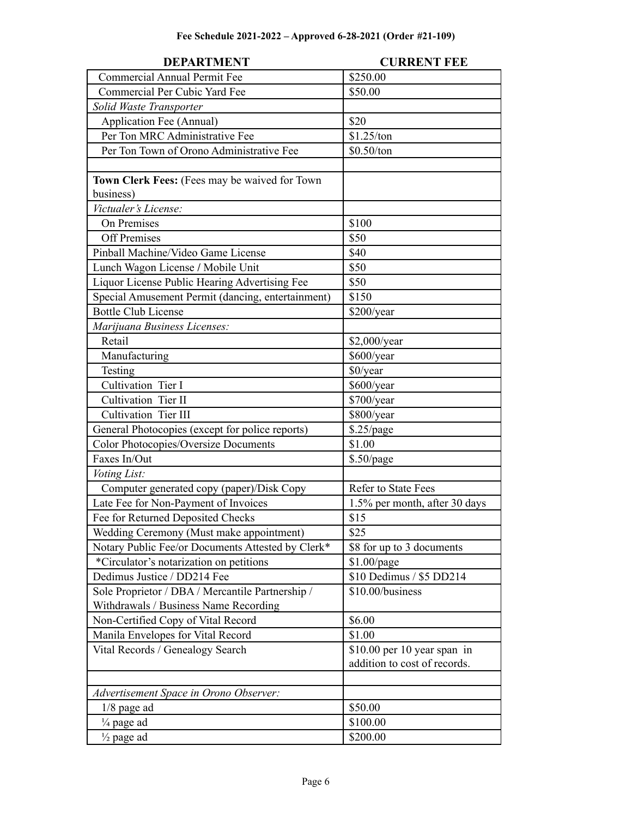| <b>DEPARTMENT</b>                                 | <b>CURRENT FEE</b>            |
|---------------------------------------------------|-------------------------------|
| <b>Commercial Annual Permit Fee</b>               | \$250.00                      |
| Commercial Per Cubic Yard Fee                     | \$50.00                       |
| Solid Waste Transporter                           |                               |
| Application Fee (Annual)                          | \$20                          |
| Per Ton MRC Administrative Fee                    | \$1.25/ton                    |
| Per Ton Town of Orono Administrative Fee          | \$0.50/ton                    |
|                                                   |                               |
| Town Clerk Fees: (Fees may be waived for Town     |                               |
| business)                                         |                               |
| Victualer's License:                              |                               |
| On Premises                                       | \$100                         |
| <b>Off Premises</b>                               | \$50                          |
| Pinball Machine/Video Game License                | \$40                          |
| Lunch Wagon License / Mobile Unit                 | \$50                          |
| Liquor License Public Hearing Advertising Fee     | \$50                          |
| Special Amusement Permit (dancing, entertainment) | \$150                         |
| <b>Bottle Club License</b>                        | \$200/year                    |
| Marijuana Business Licenses:                      |                               |
| Retail                                            | \$2,000/year                  |
| Manufacturing                                     | \$600/year                    |
| Testing                                           | \$0/year                      |
| Cultivation Tier I                                | \$600/year                    |
| Cultivation Tier II                               | \$700/year                    |
| Cultivation Tier III                              | \$800/year                    |
| General Photocopies (except for police reports)   | \$.25/page                    |
| <b>Color Photocopies/Oversize Documents</b>       | \$1.00                        |
| Faxes In/Out                                      | $$.50$ /page                  |
| Voting List:                                      |                               |
| Computer generated copy (paper)/Disk Copy         | <b>Refer to State Fees</b>    |
| Late Fee for Non-Payment of Invoices              | 1.5% per month, after 30 days |
| Fee for Returned Deposited Checks                 | \$15                          |
| Wedding Ceremony (Must make appointment)          | \$25                          |
| Notary Public Fee/or Documents Attested by Clerk* | \$8 for up to 3 documents     |
| *Circulator's notarization on petitions           | $$1.00$ /page                 |
| Dedimus Justice / DD214 Fee                       | \$10 Dedimus / \$5 DD214      |
| Sole Proprietor / DBA / Mercantile Partnership /  | \$10.00/business              |
| Withdrawals / Business Name Recording             |                               |
| Non-Certified Copy of Vital Record                | \$6.00                        |
| Manila Envelopes for Vital Record                 | \$1.00                        |
| Vital Records / Genealogy Search                  | $$10.00$ per 10 year span in  |
|                                                   | addition to cost of records.  |
|                                                   |                               |
| Advertisement Space in Orono Observer:            |                               |
| $1/8$ page ad                                     | \$50.00                       |
| $\frac{1}{4}$ page ad                             | \$100.00                      |
| $\frac{1}{2}$ page ad                             | \$200.00                      |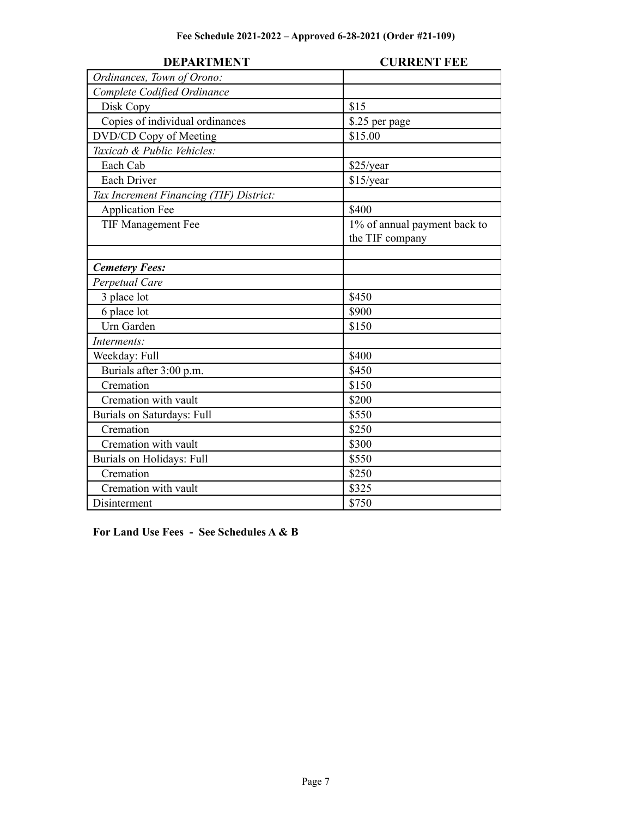| <b>DEPARTMENT</b>                       | <b>CURRENT FEE</b>           |
|-----------------------------------------|------------------------------|
| Ordinances, Town of Orono:              |                              |
| Complete Codified Ordinance             |                              |
| Disk Copy                               | \$15                         |
| Copies of individual ordinances         | \$.25 per page               |
| DVD/CD Copy of Meeting                  | \$15.00                      |
| Taxicab & Public Vehicles:              |                              |
| Each Cab                                | \$25/year                    |
| Each Driver                             | \$15/year                    |
| Tax Increment Financing (TIF) District: |                              |
| <b>Application Fee</b>                  | \$400                        |
| TIF Management Fee                      | 1% of annual payment back to |
|                                         | the TIF company              |
|                                         |                              |
| <b>Cemetery Fees:</b>                   |                              |
| Perpetual Care                          |                              |
| 3 place lot                             | \$450                        |
| 6 place lot                             | \$900                        |
| Urn Garden                              | \$150                        |
| Interments:                             |                              |
| Weekday: Full                           | \$400                        |
| Burials after 3:00 p.m.                 | \$450                        |
| Cremation                               | \$150                        |
| Cremation with vault                    | \$200                        |
| <b>Burials on Saturdays: Full</b>       | \$550                        |
| Cremation                               | \$250                        |
| Cremation with vault                    | \$300                        |
| Burials on Holidays: Full               | \$550                        |
| Cremation                               | \$250                        |
| Cremation with vault                    | \$325                        |
| Disinterment                            | \$750                        |

### **For Land Use Fees - See Schedules A & B**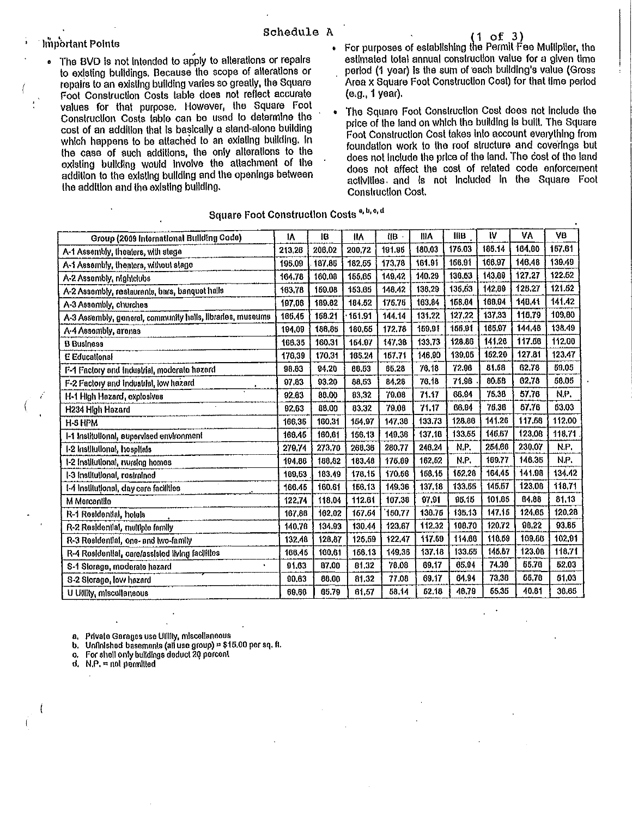### Important Points

- The BVD is not intended to apply to alterations or repairs to existing buildings. Because the scope of alterations or repairs to an existing building varies so greatly, the Square Foot Construction Costs table does not reflect accurate values for that purpose. However, the Square Foot Construction Costs table can be used to determine the cost of an addition that is basically a stand-alone building which happens to be attached to an existing building. In the case of such additions, the only alterations to the existing building would involve the attachment of the addition to the existing building and the openings between the addition and the existing building.
- For purposes of establishing the Permit Fee Multiplier, the estimated total annual construction value for a given time period (1 year) is the sum of each building's value (Gross Area x Square Foot Construction Cost) for that time period (e.g., 1 year).
- The Square Foot Construction Cost does not include the  $\ddot{\bullet}$ price of the land on which the building is built. The Square Foot Construction Cost takes into account everything from foundation work to the roof structure and coverings but does not include the price of the land. The cost of the land does not affect the cost of related code enforcement activities and is not included in the Square Foot **Construction Cost.**

### Square Foot Construction Costs<sup>a, b, o, d</sup>

|                                                            | ١A     | 18     | łМ     | $\mathbf{H}$ $\mathbf{B}$ | IIIA   | <b>IIIB</b> | W      | ٧A     | VB     |
|------------------------------------------------------------|--------|--------|--------|---------------------------|--------|-------------|--------|--------|--------|
| Group (2009 International Building Code)                   |        | 206.02 |        | 191.96                    | 180,03 | 176.03      | 185.14 | 164.60 | 157,61 |
| A-1 Assembly, theaters, with stage                         | 213,26 |        | 200,72 |                           |        |             |        |        |        |
| A-1 Assembly, theaters, without stage                      | 195.09 | 187.86 | 102.65 | 173,78                    | 161.91 | 166.91      | 166,97 | 146.48 | 130.49 |
| A-2 Assembly, nighiclubs                                   | 164.78 | 160.08 | 155,85 | 149.42                    | 140.29 | 136.63      | 143,89 | 127.27 | 122.62 |
| A-2 Assembly, restaurants, bars, banquet halls             | 163.78 | 159.08 | 153.65 | 148.42                    | 138,29 | 135,63      | 142,89 | 12827  | 121.62 |
| A-3 Assembly, churches                                     | 197,08 | 189.82 | 184.52 | 176.76                    | 163.84 | 158.04      | 160.94 | 148.41 | 141.42 |
| A-3 Assembly, general, community halls, libraries, museums | 165,45 | 158.21 | 161.91 | 144.14                    | 131.22 | 127.22      | 137,33 | 116.79 | 109,80 |
| A-4 Assembly, arenas                                       | 194,09 | 186.85 | 180,55 | 172.78                    | 159,91 | 155,91      | 166,97 | 144.48 | 138.49 |
| <b>B</b> Business                                          | 168.35 | 160.31 | 164.97 | 147.38                    | 133,73 | 128.86      | 141,26 | 117.68 | 112.00 |
| <b>E</b> Educational                                       | 176,39 | 170,31 | 185.24 | 157.71                    | 146.90 | 139.05      | 152,20 | 127.81 | 123.47 |
| F-1 Factory and Industrial, moderate hazard                | 98.83  | 94.20  | 88.53  | 85,28                     | 76.18  | 72.96       | 81.68  | 62.78  | 59.05  |
| F-2 Factory and Industrial, low hazard                     | 97.83  | 93.20  | 88.63  | 84,28                     | 76.18  | 71.96       | 80.58  | 62.78  | 58.05  |
| H-1 High Hazard, explosivas                                | 92.63  | 80.00  | 83.32  | 79.08                     | 71.17  | 66.04       | 76.38  | 57.76  | N.P.   |
| H234 High Hazard                                           | 92,63  | 88.00  | 83.32  | 79.08                     | 71.17  | 06.94       | 76.38  | 57.76  | 63.03  |
| H-SHPM                                                     | 166.35 | 160,31 | 154.97 | 147.38                    | 133.73 | 128.86      | 141.26 | 117.66 | 112,00 |
| I-1 Institutional, supervised environment                  | 166.46 | 160,61 | 156.13 | 149,36                    | 137.10 | 133.55      | 146,57 | 123,08 | 118.71 |
| 1-2 Institutional, hospitals                               | 279.74 | 273,70 | 268,36 | 280.77                    | 246,24 | N.P.        | 254.66 | 230.07 | N.P.   |
| 1-2 Institutional, nursing homes                           | 104.86 | 188,82 | 183.40 | 175.89                    | 162,52 | N.P.        | 169.77 | 146.35 | N.P.   |
| I-3 institutional, restrained                              | 189.53 | 183.49 | 178.15 | 170.56                    | 158.15 | 152.28      | 164,45 | 141.98 | 134.42 |
| 1-4 Institutional, day care facilities                     | 166.45 | 160.61 | 156.13 | 149.36                    | 137.18 | 133.66      | 146,67 | 123,08 | 118.71 |
| M Mercantile                                               | 122.74 | 118.04 | 112.81 | 107.38                    | 97.91  | 95.15       | 101.05 | 84.88  | 81.13  |
| R-1 Residential, hotels                                    | 167.88 | 162.02 | 167.64 | 150.77                    | 138.75 | 135.13      | 147.15 | 124.65 | 120.28 |
| R-2 Residential, multiple family                           | 140.76 | 134.93 | 130.44 | 123.67                    | 112,32 | 108.70      | 120.72 | 98.22  | 93.86  |
| R-3 Residential, one- and two-family                       | 132.48 | 128,87 | 125.59 | 122.47                    | 117.69 | 114.66      | 118.69 | 109,86 | 102.91 |
| R-4 Residential, care/assisted living facilities           | 166.46 | 160,61 | 156,13 | 149.36                    | 137.18 | 133.65      | 145.67 | 123.08 | 118.71 |
| S-1 Slorage, moderate hazard<br>$\bullet$                  | 91.63  | 87.00  | 81,32  | 78,08                     | 89,17  | 65.94       | 74.38  | 55.76  | 52.03  |
| S-2 Slorage, low hazard                                    | 90.63  | 86,00  | 81.32  | 77.08                     | 69.17  | 64.94       | 73,38  | 66,76  | 51,03  |
| U Ullilly, miscellaneous                                   | 69.66  | 65.79  | 61.57  | 58.14                     | 52.18  | 18.79       | 65,35  | 40.81  | 38.65  |

a. Private Garages use Utility, miscellaneous

b. Unfinished basements (all use group) = \$15.00 per sq. ft.

For shell only buildings deduct 20 percent ٥.

d.  $N.P. = not permilled$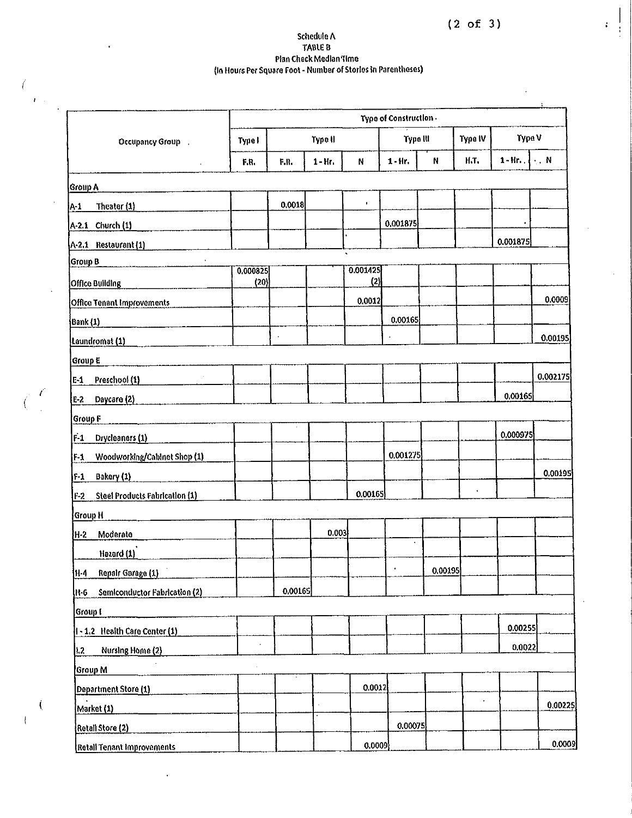# Schedule A<br>TABLE B<br>Plan Check Median Time<br>(In Hours Per Square Foot - Number of Stories in Parentheses)

 $\ell$ 

 $\hat{E}$  .

 $\langle$ 

l,

 $\overline{1}$ 

|                                                | Type of Construction. |         |            |                 |                |             |                    |                                |          |
|------------------------------------------------|-----------------------|---------|------------|-----------------|----------------|-------------|--------------------|--------------------------------|----------|
| Type I<br>Occupancy Group :                    |                       | Type II |            |                 | Type III       |             | Type IV            | Type V                         |          |
| Ĭ.                                             | F.R.                  | F.R.    | $1 - Hr$ . | ${\sf N}$       | $1 - Hr$       | $\mathsf N$ | H.T.               | $1-Hn$ . $\vert \cdot \vert N$ |          |
| Group A                                        |                       |         |            |                 |                |             |                    |                                |          |
| Theater (1)<br>$A_1$                           |                       | 0.0018  |            | $\pmb{\cdot}$   |                |             |                    |                                |          |
| $A-2.1$ Church $(1)$                           |                       |         |            |                 | 0.001875       |             |                    |                                |          |
| A-2.1 Restaurant (1)                           |                       |         |            |                 |                |             |                    | 0.001875                       |          |
| Group B                                        |                       |         |            |                 |                |             |                    |                                |          |
| <b>Office Building</b>                         | 0.000825<br>(20)      |         |            | 0.001425<br>(2) |                |             |                    |                                |          |
| <b>Office Tenant Improvements</b>              |                       |         |            | 0.0012          |                |             |                    |                                | 0.0009   |
| <b>Bank (1)</b>                                |                       |         |            |                 | 0.00165        |             |                    |                                |          |
| Laundromat (1)                                 |                       |         |            |                 |                |             |                    |                                | 0.00195  |
| Group E                                        |                       |         |            |                 |                |             |                    |                                |          |
| Preschool (1)<br>$E-1$                         |                       |         |            |                 |                |             |                    |                                | 0,002175 |
| E-2 Daycare (2)                                |                       |         |            |                 |                |             |                    | 0.00165                        |          |
| <b>Group F</b>                                 |                       |         |            |                 |                |             |                    |                                |          |
| $F-1$<br>Drycleaners (1)                       |                       |         |            |                 |                |             |                    | 0.000975                       |          |
| Woodworking/Cabinet Shop (1)<br>$F-1$          |                       |         |            |                 | 0.001275       |             |                    |                                |          |
| Bakery (1)<br>$F-1$                            |                       |         |            |                 |                |             |                    |                                | 0.00195  |
|                                                |                       |         |            | 0.00165         |                |             | $\hat{\mathbf{r}}$ |                                |          |
| <b>Steel Products Fabrication (1)</b><br>$F-2$ |                       |         |            |                 |                |             |                    |                                |          |
| Group H                                        |                       |         | 0.003      |                 |                |             |                    |                                |          |
| H-2<br>Moderate                                |                       |         |            |                 | $\blacksquare$ |             |                    |                                |          |
| Hazard (1)                                     |                       |         |            |                 |                |             |                    |                                |          |
| Repair Garage (1)<br> H-4                      |                       |         |            |                 |                | 0.00195     |                    |                                |          |
| Semiconductor Fabrication (2)<br>H-6           |                       | 0.00165 |            |                 |                |             |                    |                                |          |
| Group I                                        |                       |         |            |                 |                |             |                    |                                |          |
| 1-1.2 Health Care Center (1)                   |                       |         |            |                 |                |             |                    | 0.00255                        |          |
| Nursing Home (2)<br>1.2 <sub>1</sub>           |                       |         |            |                 |                |             |                    | 0.0022                         |          |
| Group M                                        |                       |         |            |                 |                |             |                    |                                |          |
| Department Store (1)                           |                       |         |            | 0.0012          |                |             |                    |                                |          |
| Market (1)                                     |                       |         |            |                 |                |             | ï                  |                                | 0.00225  |
| Retail Store (2)                               |                       |         |            |                 | 0.00075        |             |                    |                                |          |
| Retall Tenant Improvements                     |                       |         |            | 0.0009          |                |             |                    |                                | 0.0009   |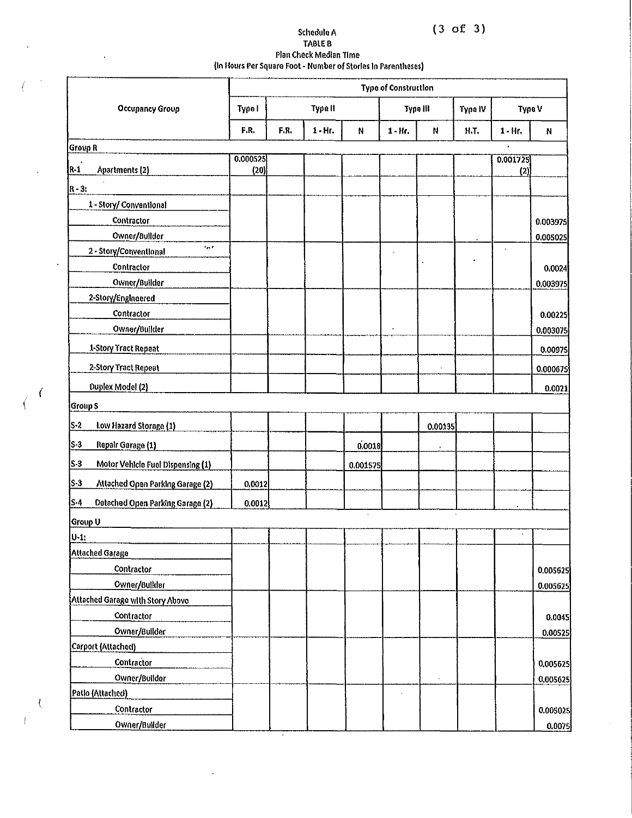$(3 \text{ of } 3)$ 

## Schedule A<br>TABLE B Plan Check Median Time<br>(In Hours Per Square Foot - Number of Stories In Parentheses)

 $\ddot{\phantom{1}}$ 

 $\hat{\mathbf{r}}$ 

 $\ddot{\phantom{1}}$ 

 $\left($  $\big($ 

 $\langle$ 

|                                                  | Type of Construction |      |            |          |            |                      |                   |                 |          |  |
|--------------------------------------------------|----------------------|------|------------|----------|------------|----------------------|-------------------|-----------------|----------|--|
| <b>Occupancy Group</b>                           | Type II<br>Type I    |      |            |          |            | Type III             | Type V<br>Type IV |                 |          |  |
|                                                  | F.R.                 | F.R. | $1 - Ht$ . | N        | $1 - Hr$ . | N                    | Н.Т.              | $1 - Hr$ .      | N        |  |
| <b>Group R</b>                                   |                      |      |            |          |            |                      |                   |                 |          |  |
| $R-1$<br>Apartments (2)                          | 0.000525<br>(20)     |      |            |          |            |                      |                   | 0.001725<br>(2) |          |  |
| $R - 3$ :                                        |                      |      |            |          |            |                      |                   |                 |          |  |
| 1 - Story/ Conventional                          |                      |      |            |          |            |                      |                   |                 |          |  |
| Contractor                                       |                      |      |            |          |            |                      |                   |                 | 0.003975 |  |
| Owner/Builder                                    |                      |      |            |          |            |                      |                   |                 | 0.005025 |  |
| n <sub>0</sub><br>2 - Story/Conventional         |                      |      |            |          |            |                      |                   |                 |          |  |
| Contractor                                       |                      |      |            |          |            |                      |                   |                 | 0.0024   |  |
| Owner/Bullder                                    |                      |      |            |          |            |                      |                   |                 | 0.003975 |  |
| 2-Story/Engineered                               |                      |      |            |          |            |                      |                   |                 |          |  |
| Contractor                                       |                      |      |            |          |            |                      |                   |                 | 0.00225  |  |
| Owner/Bullder                                    |                      |      |            |          |            |                      |                   |                 | 0.003075 |  |
| 1-Story Tract Repeat                             |                      |      |            |          |            |                      |                   |                 | 0.00975  |  |
| 2-Story Tract Repeat                             |                      |      |            |          |            | $\ddot{\phantom{a}}$ |                   |                 | 0.000675 |  |
| <b>Duplex Model (2)</b>                          |                      |      |            |          |            |                      |                   |                 | 0.0021   |  |
| Group S                                          |                      |      |            |          |            |                      |                   |                 |          |  |
| $S - 2$<br>Low Hazard Storage (1)                |                      |      |            |          |            | 0.00135              |                   |                 |          |  |
| S-3<br>Repair Garage (1)                         |                      |      |            | 0.0018   |            |                      |                   |                 |          |  |
| $S-3$<br>Motor Vehicle Fuel Dispensing (1)       |                      |      |            | 0.001575 |            |                      |                   |                 |          |  |
| <b>S-3</b><br>Attached Open Parking Garage (2)   | 0.0012               |      |            |          |            |                      |                   |                 |          |  |
| $S-4$<br><b>Detached Open Parking Garage (2)</b> | 0.0012               |      |            |          |            |                      |                   |                 |          |  |
| Group U                                          |                      |      |            |          |            |                      |                   |                 |          |  |
| U-1:                                             |                      |      |            |          |            |                      |                   |                 |          |  |
| Attached Garage                                  |                      |      |            |          |            |                      |                   |                 |          |  |
| Contractor                                       |                      |      |            |          |            |                      |                   |                 | 0,005625 |  |
| Owner/Bullder                                    |                      |      |            |          |            |                      |                   |                 | 0.005625 |  |
| Attached Garage with Story Above                 |                      |      |            |          |            |                      |                   |                 |          |  |
| Contractor                                       |                      |      |            |          |            |                      |                   |                 | 0.0045   |  |
| Owner/Builder                                    |                      |      |            |          |            |                      |                   |                 | 0.00525  |  |
| Carport (Attached)                               |                      |      |            |          |            |                      |                   |                 |          |  |
| Contractor                                       |                      |      |            |          |            |                      |                   |                 | 0,005625 |  |
| Owner/Builder                                    |                      |      |            |          |            |                      |                   |                 | 0.005625 |  |
| Patlo (Attached)                                 |                      |      |            |          |            |                      |                   |                 |          |  |
| Contractor                                       |                      |      |            |          |            |                      |                   |                 | 0.005025 |  |
| Owner/Builder                                    |                      |      |            |          |            |                      |                   |                 | 0.0075   |  |

 $\ddot{\phantom{1}}$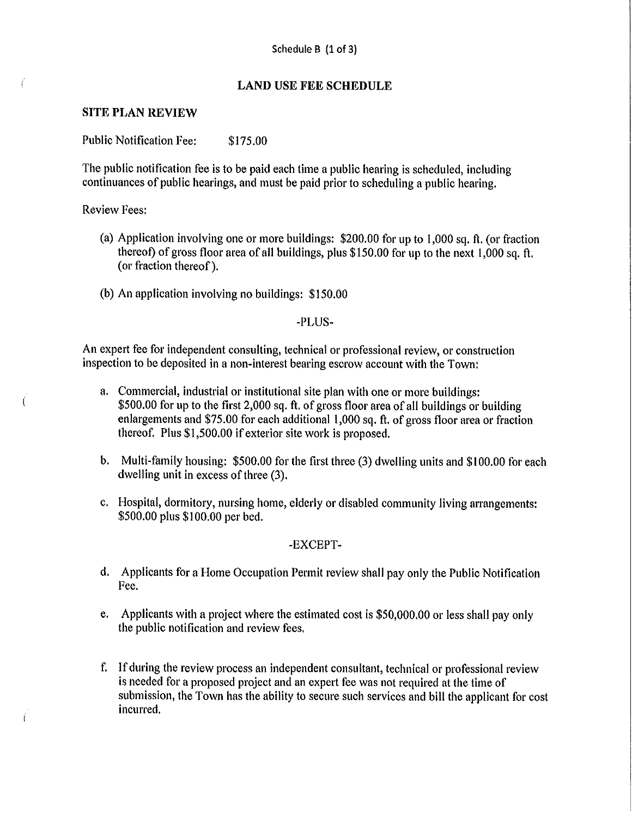### **LAND USE FEE SCHEDULE**

### **SITE PLAN REVIEW**

**Public Notification Fee:** \$175.00

The public notification fee is to be paid each time a public hearing is scheduled, including continuances of public hearings, and must be paid prior to scheduling a public hearing.

**Review Fees:** 

í

- (a) Application involving one or more buildings:  $$200.00$  for up to 1,000 sq. ft. (or fraction thereof) of gross floor area of all buildings, plus \$150.00 for up to the next 1,000 sq. ft. (or fraction thereof).
- (b) An application involving no buildings: \$150.00

-PLUS-

An expert fee for independent consulting, technical or professional review, or construction inspection to be deposited in a non-interest bearing escrow account with the Town:

- a. Commercial, industrial or institutional site plan with one or more buildings: \$500.00 for up to the first 2,000 sq. ft. of gross floor area of all buildings or building enlargements and \$75.00 for each additional 1,000 sq. ft. of gross floor area or fraction thereof. Plus \$1,500.00 if exterior site work is proposed.
- b. Multi-family housing: \$500.00 for the first three (3) dwelling units and \$100.00 for each dwelling unit in excess of three (3).
- c. Hospital, dormitory, nursing home, elderly or disabled community living arrangements: \$500.00 plus \$100.00 per bed.

-EXCEPT-

- d. Applicants for a Home Occupation Permit review shall pay only the Public Notification Fee.
- Applicants with a project where the estimated cost is \$50,000.00 or less shall pay only e. the public notification and review fees.
- f. If during the review process an independent consultant, technical or professional review is needed for a proposed project and an expert fee was not required at the time of submission, the Town has the ability to secure such services and bill the applicant for cost incurred.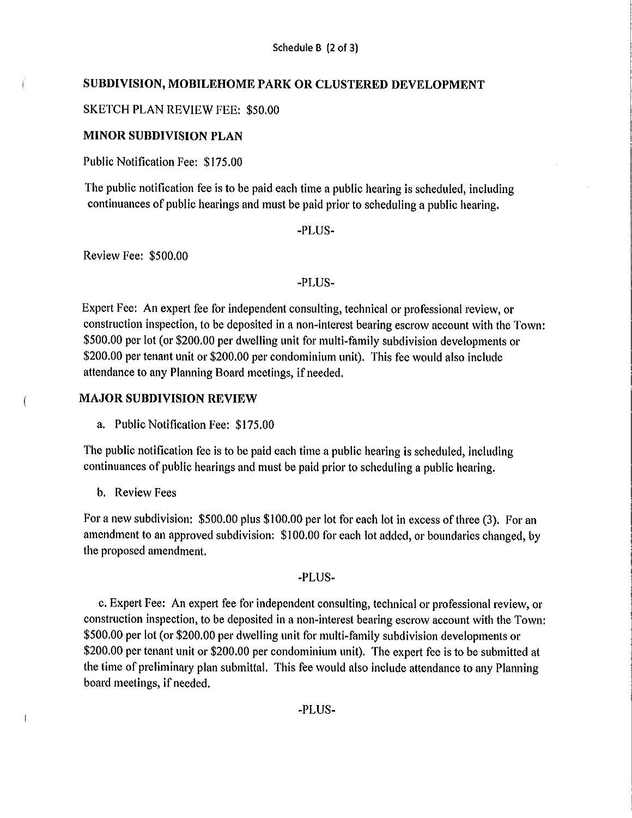### SUBDIVISION, MOBILEHOME PARK OR CLUSTERED DEVELOPMENT

### **SKETCH PLAN REVIEW FEE: \$50.00**

### **MINOR SUBDIVISION PLAN**

Public Notification Fee: \$175.00

The public notification fee is to be paid each time a public hearing is scheduled, including continuances of public hearings and must be paid prior to scheduling a public hearing.

-PLUS-

Review Fee: \$500.00

ť

 $\sqrt{ }$ 

-PLUS-

Expert Fee: An expert fee for independent consulting, technical or professional review, or construction inspection, to be deposited in a non-interest bearing escrow account with the Town: \$500.00 per lot (or \$200.00 per dwelling unit for multi-family subdivision developments or \$200.00 per tenant unit or \$200.00 per condominium unit). This fee would also include attendance to any Planning Board meetings, if needed.

### **MAJOR SUBDIVISION REVIEW**

a. Public Notification Fee: \$175.00

The public notification fee is to be paid each time a public hearing is scheduled, including continuances of public hearings and must be paid prior to scheduling a public hearing.

b. Review Fees

For a new subdivision: \$500.00 plus \$100.00 per lot for each lot in excess of three (3). For an amendment to an approved subdivision: \$100.00 for each lot added, or boundaries changed, by the proposed amendment.

-PLUS-

c. Expert Fee: An expert fee for independent consulting, technical or professional review, or construction inspection, to be deposited in a non-interest bearing escrow account with the Town: \$500.00 per lot (or \$200.00 per dwelling unit for multi-family subdivision developments or \$200.00 per tenant unit or \$200.00 per condominium unit). The expert fee is to be submitted at the time of preliminary plan submittal. This fee would also include attendance to any Planning board meetings, if needed.